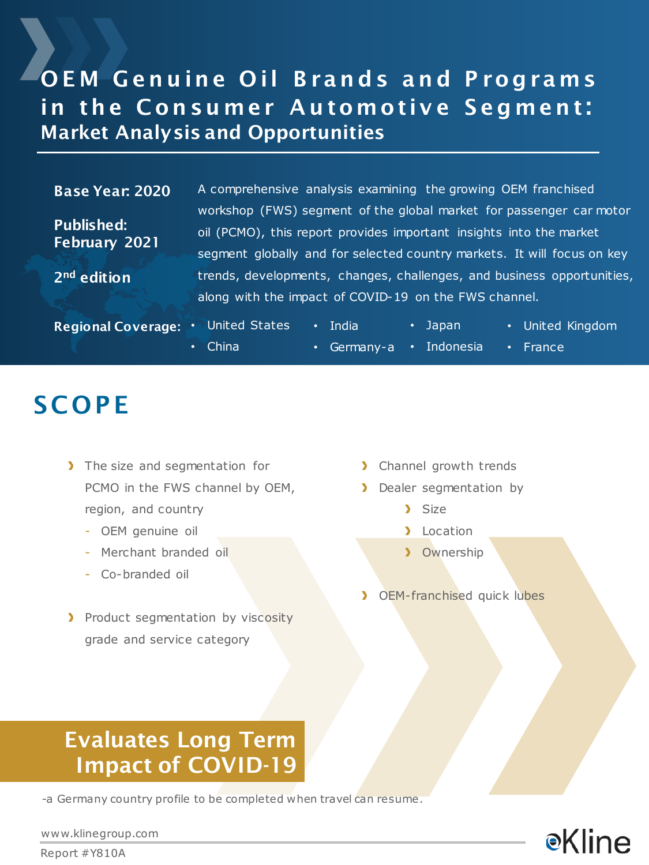### OEM Genuine Oil Brands and Programs in the Consumer Automotive Segment: Market Analysis and Opportunities

#### Base Year: 2020

Published: February 2021

2nd edition

A comprehensive analysis examining the growing OEM franchised workshop (FWS) segment of the global market for passenger car motor oil (PCMO), this report provides important insights into the market segment globally and for selected country markets. It will focus on key trends, developments, changes, challenges, and business opportunities, along with the impact of COVID-19 on the FWS channel.

| <b>Regional Coverage:</b> | United States | $\bullet$ | LIndia'                             | $\cdot$ Japan | • United Kingdom |
|---------------------------|---------------|-----------|-------------------------------------|---------------|------------------|
|                           | $\cdot$ China |           | $\cdot$ Germany-a $\cdot$ Indonesia |               | $\cdot$ France   |

### **SCOPE**

- > The size and segmentation for PCMO in the FWS channel by OEM, region, and country
	- OEM genuine oil
	- Merchant branded oil
	- Co-branded oil
- Product segmentation by viscosity grade and service category
- > Channel growth trends
- **Dealer segmentation by** 
	- > Size
	- **Location**
	- **>** Ownership
- **>** OEM-franchised quick lubes

### Evaluates Long Term Impact of COVID-19

-a Germany country profile to be completed when travel can resume.



www.klinegroup.com

Report #Y810A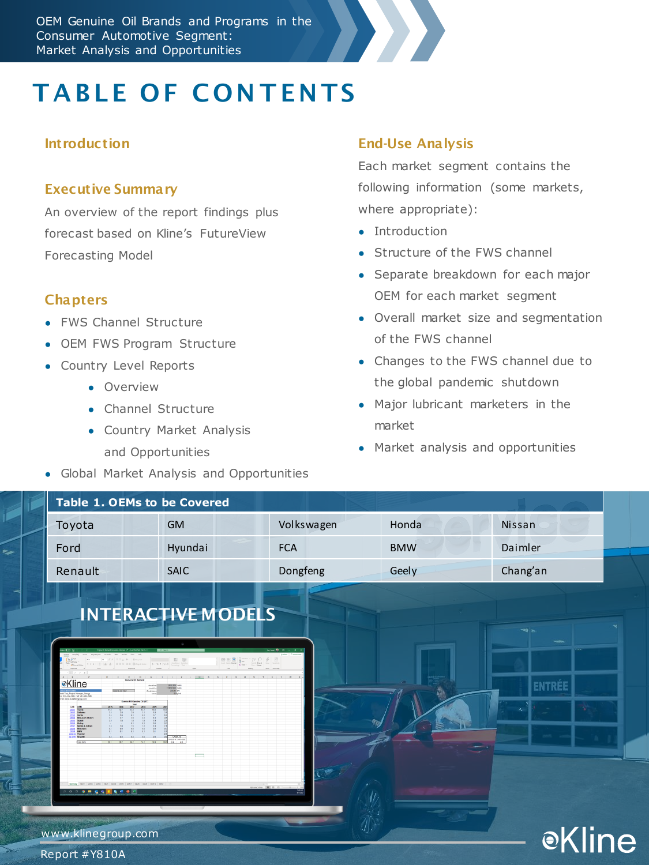OEM Genuine Oil Brands and Programs in the Consumer Automotive Segment: Market Analysis and Opportunities



# **TABLE OF CONTENTS**

#### **Introduction**

#### Executive Summary

An overview of the report findings plus forecast based on Kline's FutureView Forecasting Model

#### **Chapters**

- FWS Channel Structure
- OEM FWS Program Structure
- Country Level Reports
	- Overview
	- Channel Structure
	- Country Market Analysis and Opportunities
- Global Market Analysis and Opportunities

#### End-Use Analysis

Each market segment contains the following information (some markets, where appropriate):

- Introduction
- Structure of the FWS channel
- Separate breakdown for each major OEM for each market segment
- Overall market size and segmentation of the FWS channel
- Changes to the FWS channel due to the global pandemic shutdown
- Major lubricant marketers in the market
- Market analysis and opportunities

|                          | <b>Table 1. OEMs to be Covered</b> |            |            |                       |
|--------------------------|------------------------------------|------------|------------|-----------------------|
| Toyota                   | <b>GM</b>                          | Volkswagen | Honda      | Nissan                |
| Ford                     | Hyundai                            | <b>FCA</b> | <b>BMW</b> | Daimler               |
| Renault                  | SAIC                               | Dongfeng   | Geely      | Chang'an              |
| <b>e</b> Kline           | <b>INTERACTIVE MODELS</b><br>▭     |            |            | ه په<br><b>ENTREE</b> |
| ۰.<br>www.klinegroup.com |                                    |            |            | $\odot$ K<br>ht a     |

Report #Y810A